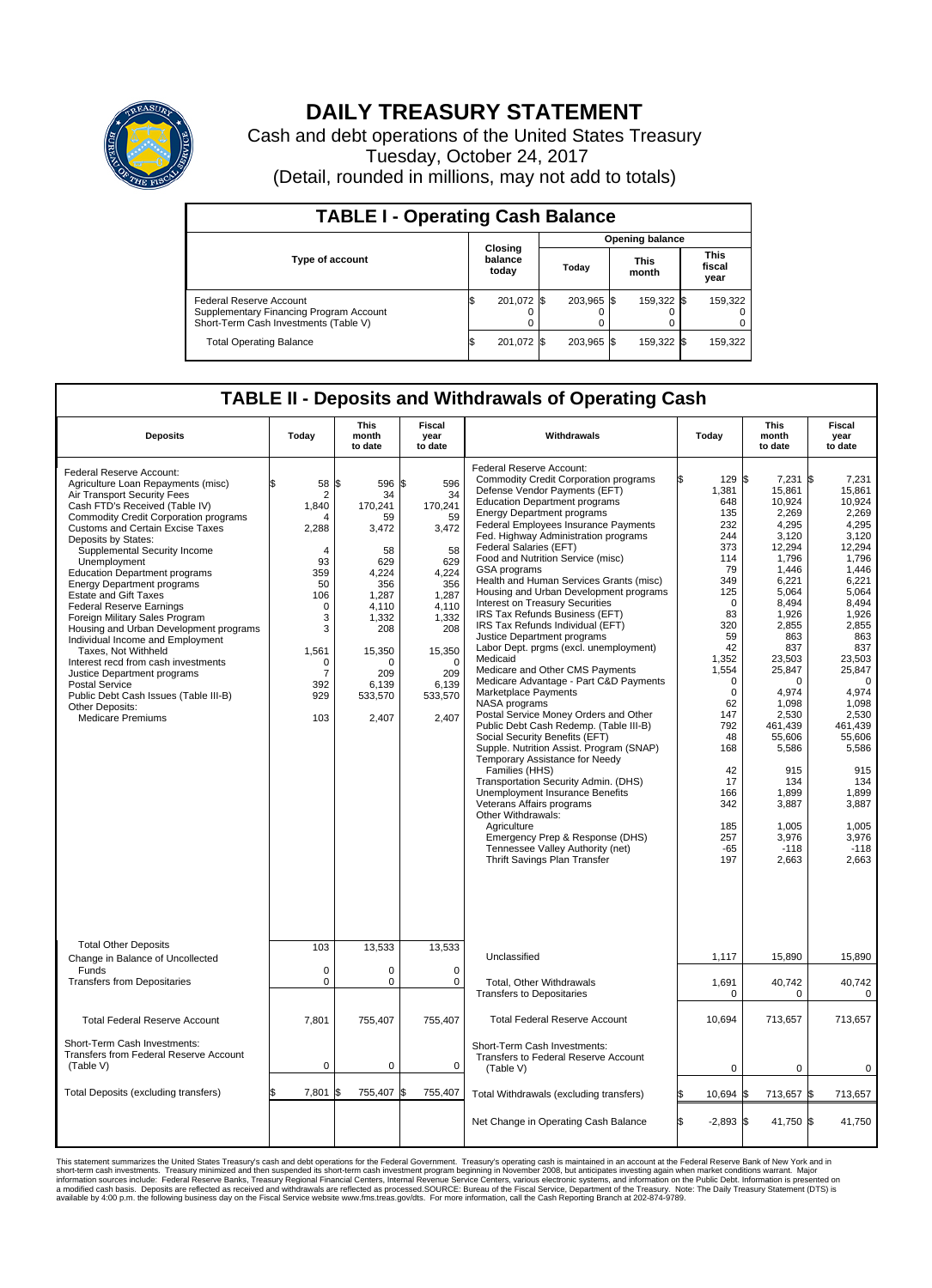

## **DAILY TREASURY STATEMENT**

Cash and debt operations of the United States Treasury Tuesday, October 24, 2017 (Detail, rounded in millions, may not add to totals)

| <b>TABLE I - Operating Cash Balance</b>                                                                     |  |                             |  |                        |  |                      |  |                               |  |  |  |
|-------------------------------------------------------------------------------------------------------------|--|-----------------------------|--|------------------------|--|----------------------|--|-------------------------------|--|--|--|
|                                                                                                             |  |                             |  | <b>Opening balance</b> |  |                      |  |                               |  |  |  |
| <b>Type of account</b>                                                                                      |  | Closing<br>balance<br>today |  | Today                  |  | <b>This</b><br>month |  | <b>This</b><br>fiscal<br>year |  |  |  |
| Federal Reserve Account<br>Supplementary Financing Program Account<br>Short-Term Cash Investments (Table V) |  | 201,072 \$                  |  | 203.965 \$             |  | 159,322 \$           |  | 159,322                       |  |  |  |
| <b>Total Operating Balance</b>                                                                              |  | 201,072 \$                  |  | 203.965 \$             |  | 159,322 \$           |  | 159,322                       |  |  |  |

## **TABLE II - Deposits and Withdrawals of Operating Cash**

| <b>Deposits</b>                                                                                                                                                                                                                                                                                                                                                                                                                                                                                                                                                                                                                                                                                                                                                          | Today                                                                                                                                                                                   | <b>This</b><br>month<br>to date                                                                                                                              | <b>Fiscal</b><br>year<br>to date                                                                                                                                    | Withdrawals                                                                                                                                                                                                                                                                                                                                                                                                                                                                                                                                                                                                                                                                                                                                                                                                                                                                                                                                                                                                                                                                                                                                                                                                                                    | Today                                                                                                                                                                                                                                                 | <b>This</b><br>month<br>to date                                                                                                                                                                                                                                                                                     | <b>Fiscal</b><br>year<br>to date                                                                                                                                                                                                                                                                          |
|--------------------------------------------------------------------------------------------------------------------------------------------------------------------------------------------------------------------------------------------------------------------------------------------------------------------------------------------------------------------------------------------------------------------------------------------------------------------------------------------------------------------------------------------------------------------------------------------------------------------------------------------------------------------------------------------------------------------------------------------------------------------------|-----------------------------------------------------------------------------------------------------------------------------------------------------------------------------------------|--------------------------------------------------------------------------------------------------------------------------------------------------------------|---------------------------------------------------------------------------------------------------------------------------------------------------------------------|------------------------------------------------------------------------------------------------------------------------------------------------------------------------------------------------------------------------------------------------------------------------------------------------------------------------------------------------------------------------------------------------------------------------------------------------------------------------------------------------------------------------------------------------------------------------------------------------------------------------------------------------------------------------------------------------------------------------------------------------------------------------------------------------------------------------------------------------------------------------------------------------------------------------------------------------------------------------------------------------------------------------------------------------------------------------------------------------------------------------------------------------------------------------------------------------------------------------------------------------|-------------------------------------------------------------------------------------------------------------------------------------------------------------------------------------------------------------------------------------------------------|---------------------------------------------------------------------------------------------------------------------------------------------------------------------------------------------------------------------------------------------------------------------------------------------------------------------|-----------------------------------------------------------------------------------------------------------------------------------------------------------------------------------------------------------------------------------------------------------------------------------------------------------|
| Federal Reserve Account:<br>Agriculture Loan Repayments (misc)<br>Air Transport Security Fees<br>Cash FTD's Received (Table IV)<br><b>Commodity Credit Corporation programs</b><br><b>Customs and Certain Excise Taxes</b><br>Deposits by States:<br>Supplemental Security Income<br>Unemployment<br><b>Education Department programs</b><br><b>Energy Department programs</b><br><b>Estate and Gift Taxes</b><br><b>Federal Reserve Earnings</b><br>Foreign Military Sales Program<br>Housing and Urban Development programs<br>Individual Income and Employment<br>Taxes. Not Withheld<br>Interest recd from cash investments<br>Justice Department programs<br>Postal Service<br>Public Debt Cash Issues (Table III-B)<br>Other Deposits:<br><b>Medicare Premiums</b> | 58<br>$\overline{2}$<br>1.840<br>$\boldsymbol{\Lambda}$<br>2,288<br>$\overline{4}$<br>93<br>359<br>50<br>106<br>$\mathbf 0$<br>3<br>3<br>1,561<br>$\mathbf 0$<br>7<br>392<br>929<br>103 | l\$<br>596<br>34<br>170.241<br>59<br>3,472<br>58<br>629<br>4,224<br>356<br>1,287<br>4.110<br>1,332<br>208<br>15,350<br>n<br>209<br>6,139<br>533,570<br>2,407 | l\$<br>596<br>34<br>170,241<br>59<br>3,472<br>58<br>629<br>4,224<br>356<br>1,287<br>4,110<br>1,332<br>208<br>15,350<br>$\Omega$<br>209<br>6,139<br>533,570<br>2,407 | Federal Reserve Account:<br><b>Commodity Credit Corporation programs</b><br>Defense Vendor Payments (EFT)<br><b>Education Department programs</b><br><b>Energy Department programs</b><br>Federal Employees Insurance Payments<br>Fed. Highway Administration programs<br>Federal Salaries (EFT)<br>Food and Nutrition Service (misc)<br>GSA programs<br>Health and Human Services Grants (misc)<br>Housing and Urban Development programs<br>Interest on Treasury Securities<br>IRS Tax Refunds Business (EFT)<br>IRS Tax Refunds Individual (EFT)<br>Justice Department programs<br>Labor Dept. prgms (excl. unemployment)<br>Medicaid<br>Medicare and Other CMS Payments<br>Medicare Advantage - Part C&D Payments<br>Marketplace Payments<br>NASA programs<br>Postal Service Money Orders and Other<br>Public Debt Cash Redemp. (Table III-B)<br>Social Security Benefits (EFT)<br>Supple. Nutrition Assist. Program (SNAP)<br>Temporary Assistance for Needy<br>Families (HHS)<br>Transportation Security Admin. (DHS)<br><b>Unemployment Insurance Benefits</b><br>Veterans Affairs programs<br>Other Withdrawals:<br>Agriculture<br>Emergency Prep & Response (DHS)<br>Tennessee Valley Authority (net)<br>Thrift Savings Plan Transfer | 129<br>1,381<br>648<br>135<br>232<br>244<br>373<br>114<br>79<br>349<br>125<br>$\Omega$<br>83<br>320<br>59<br>42<br>1,352<br>1,554<br>$\Omega$<br>$\mathbf 0$<br>62<br>147<br>792<br>48<br>168<br>42<br>17<br>166<br>342<br>185<br>257<br>$-65$<br>197 | l\$<br>7,231 \$<br>15,861<br>10,924<br>2.269<br>4,295<br>3,120<br>12,294<br>1.796<br>1,446<br>6,221<br>5.064<br>8,494<br>1,926<br>2,855<br>863<br>837<br>23,503<br>25,847<br>$\Omega$<br>4,974<br>1,098<br>2,530<br>461,439<br>55,606<br>5,586<br>915<br>134<br>1.899<br>3,887<br>1,005<br>3,976<br>$-118$<br>2,663 | 7,231<br>15,861<br>10,924<br>2.269<br>4.295<br>3,120<br>12,294<br>1,796<br>1,446<br>6,221<br>5.064<br>8,494<br>1,926<br>2,855<br>863<br>837<br>23,503<br>25,847<br>$\Omega$<br>4,974<br>1,098<br>2,530<br>461,439<br>55,606<br>5,586<br>915<br>134<br>1.899<br>3,887<br>1,005<br>3,976<br>$-118$<br>2,663 |
| <b>Total Other Deposits</b><br>Change in Balance of Uncollected                                                                                                                                                                                                                                                                                                                                                                                                                                                                                                                                                                                                                                                                                                          | 103                                                                                                                                                                                     | 13,533                                                                                                                                                       | 13,533                                                                                                                                                              | Unclassified                                                                                                                                                                                                                                                                                                                                                                                                                                                                                                                                                                                                                                                                                                                                                                                                                                                                                                                                                                                                                                                                                                                                                                                                                                   | 1,117                                                                                                                                                                                                                                                 | 15,890                                                                                                                                                                                                                                                                                                              | 15,890                                                                                                                                                                                                                                                                                                    |
| Funds<br><b>Transfers from Depositaries</b>                                                                                                                                                                                                                                                                                                                                                                                                                                                                                                                                                                                                                                                                                                                              | $\mathbf 0$<br>$\mathbf 0$                                                                                                                                                              | 0<br>$\mathbf 0$                                                                                                                                             | 0<br>$\mathbf 0$                                                                                                                                                    | Total, Other Withdrawals<br><b>Transfers to Depositaries</b>                                                                                                                                                                                                                                                                                                                                                                                                                                                                                                                                                                                                                                                                                                                                                                                                                                                                                                                                                                                                                                                                                                                                                                                   | 1,691<br>0                                                                                                                                                                                                                                            | 40,742<br>0                                                                                                                                                                                                                                                                                                         | 40,742<br>0                                                                                                                                                                                                                                                                                               |
| <b>Total Federal Reserve Account</b>                                                                                                                                                                                                                                                                                                                                                                                                                                                                                                                                                                                                                                                                                                                                     | 7,801                                                                                                                                                                                   | 755,407                                                                                                                                                      | 755,407                                                                                                                                                             | <b>Total Federal Reserve Account</b>                                                                                                                                                                                                                                                                                                                                                                                                                                                                                                                                                                                                                                                                                                                                                                                                                                                                                                                                                                                                                                                                                                                                                                                                           | 10,694                                                                                                                                                                                                                                                | 713,657                                                                                                                                                                                                                                                                                                             | 713,657                                                                                                                                                                                                                                                                                                   |
| Short-Term Cash Investments:<br>Transfers from Federal Reserve Account<br>(Table V)                                                                                                                                                                                                                                                                                                                                                                                                                                                                                                                                                                                                                                                                                      | $\pmb{0}$                                                                                                                                                                               | $\pmb{0}$                                                                                                                                                    | 0                                                                                                                                                                   | Short-Term Cash Investments:<br>Transfers to Federal Reserve Account<br>(Table V)                                                                                                                                                                                                                                                                                                                                                                                                                                                                                                                                                                                                                                                                                                                                                                                                                                                                                                                                                                                                                                                                                                                                                              | $\mathbf 0$                                                                                                                                                                                                                                           | $\mathbf 0$                                                                                                                                                                                                                                                                                                         | $\mathbf 0$                                                                                                                                                                                                                                                                                               |
| Total Deposits (excluding transfers)                                                                                                                                                                                                                                                                                                                                                                                                                                                                                                                                                                                                                                                                                                                                     | 7,801                                                                                                                                                                                   | 755,407<br>l\$                                                                                                                                               | \$<br>755,407                                                                                                                                                       | Total Withdrawals (excluding transfers)                                                                                                                                                                                                                                                                                                                                                                                                                                                                                                                                                                                                                                                                                                                                                                                                                                                                                                                                                                                                                                                                                                                                                                                                        | 10,694 \$                                                                                                                                                                                                                                             | 713,657 \$                                                                                                                                                                                                                                                                                                          | 713,657                                                                                                                                                                                                                                                                                                   |
|                                                                                                                                                                                                                                                                                                                                                                                                                                                                                                                                                                                                                                                                                                                                                                          |                                                                                                                                                                                         |                                                                                                                                                              |                                                                                                                                                                     | Net Change in Operating Cash Balance                                                                                                                                                                                                                                                                                                                                                                                                                                                                                                                                                                                                                                                                                                                                                                                                                                                                                                                                                                                                                                                                                                                                                                                                           | $-2,893$ \$<br>l\$                                                                                                                                                                                                                                    | 41,750 \$                                                                                                                                                                                                                                                                                                           | 41,750                                                                                                                                                                                                                                                                                                    |

This statement summarizes the United States Treasury's cash and debt operations for the Federal Government. Treasury soperating in November 2008, but anticiarde in a cocount at the Federal Reserve Bank of New York and in<br>s